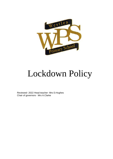

# Lockdown Policy

Reviewed- 2022 Head teacher- Mrs D.Hughes Chair of governors- Mrs A.Clarke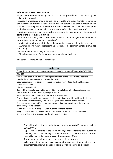# **School Lockdown Procedures**

All policies are underpinned by our child protection procedures as laid down by the child protection policy.

Lockdown procedures should be seen as a sensible and proportionate response to any external or internal incident which has the potential to pose a threat to the safety of staff and pupils in the school. Procedures should aim to minimise disruption to the learning environment whilst ensuring the safety of all pupils and staff.

Lockdown procedures may be activated in response to any number of situations, but some of the more typical might be:

• A reported incident/ civil disturbance in the local community (with the potential to pose a risk to staff and pupils in the school)

• An intruder on the school site (with the potential to pose a risk to staff and pupils)

• A warning being received regarding a risk locally of air pollution (smoke plume, gas cloud etc.)

• A major fire in the vicinity of the school

• The close proximity of a dangerous dog/animal roaming loose

The school's lockdown plan is as follows:

| <b>Action Plan</b>                                                                           |
|----------------------------------------------------------------------------------------------|
| Sound Alert - Activate lock-down procedures immediately- Verbal/phones-LOCKDOWN              |
| Dial 999                                                                                     |
| Direct all children, staff, parents and signed in visitors to the nearest safe place (this   |
| may be dependent on what and where the risk is)                                              |
| Secure rooms and take action to increase protection from attack - Lock and barricade         |
| doors and windows                                                                            |
| Close windows / blinds                                                                       |
| Turn off the lights, fans or mobile air conditioning units (this will reduce noise and the   |
| risk of exposure to any chemical/biological attack)                                          |
| Hide, sit on the floor under desks, and away from windows                                    |
| Stay as silent as possible - put any mobile devises to silent (consider writing / displaying |
| instructions on whiteboards / TV's etc as long as it can't be seen by the intruder)          |
| Ensure that students, staff and visitors are aware of an exit point in case the intruder     |
| does manage to gain access                                                                   |
| If possible, check for missing / injured students, staff and visitors                        |
| Keep doors and windows locked shut and remain inside until an all-clear has been             |
| given, or unless told to evacuate by the emergency services                                  |

- Staff will be alerted to the activation of the plan via verbal/telephone- code is LOCKDOWN.
- Pupils who are outside of the school buildings are brought inside as quickly as possible, unless this endangers them or others. If children remain outside they will move to the nearest place of safety on or off site.
- Those inside the school should remain in their classrooms.
- All external doors and, as necessary, windows are locked (depending on the circumstances, internal classroom doors may also need to be blocked)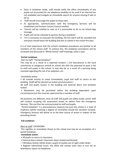- Once in lockdown mode, staff should notify the office immediately of any pupils not accounted for via telephone (mobiles to be used if an internal line not available) and instigate an immediate search for anyone missing if safe to do so.
- Staff should encourage the pupils to keep calm.
- As appropriate, communication with the Emergency Services will be established and Durham County Council notified.
- Parents will be notified as soon as it is practicable to do so via School App message.
- Pupils will not be released to parents during a lockdown
- If it is necessary to evacuate the building, the fire alarm will be sounded and everyone should leave the building and exit as stated in the school fire plan.

It is of vital importance that the school's lockdown procedures are familiar to all members of the school staff. To achieve this, the lockdown procedures will be reviewed and discussed in 'Whole School' staff meetings, twice a year.

# **Partial Lockdown**

Alert to staff: "Partial lockdown"

This may be as a result of a reported incident / civil disturbance in the local community or dangerous animal on school site with the potential to pose a risk to staff and pupils in the school. It may also be as a result of a warning being received regarding the risk of air pollution, etc.

Immediate action:

• All outside activity to cease immediately, pupil and staff to return to the building. (Staff will be alerted via verbal communication.)

All staff and pupils remain in the building and external doors and windows locked.

• Movement may be permitted within the building dependent upon circumstances but this must be supervised by a member of staff.

All situations are different, once all staff and pupils are safely inside, senior staff will conduct on-going risk assessment based on advice from the Emergency Services. This can then be communicated to staff and pupils.

"Partial lockdown" is a precautionary measure but puts the school in a state of readiness (whilst retaining a degree of normality) should the situation escalate. Emergency Services will advise as to the best course of action in respect of the prevailing threat.

# **Full Lockdown**

#### Alert to staff: LOCKDOWN

This signifies an immediate threat to the school and may be an escalation of a partial lockdown.

# **Immediate action:**

- All pupils to return to classroom.
- External doors locked. Classroom doors locked and blocked
- . Windows locked, blinds drawn, pupils sit quietly out of sight under desks.

• Register taken/head count- the office will contact each class in turn for an attendance report via telephone.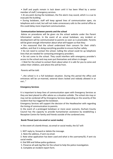• Staff and pupils remain in lock down until it has been lifted by a senior member of staff / emergency services.

• At any point during the lockdown, the fire alarm may sound, which is a cue to evacuate the building.

• During lockdown, staff will keep agreed lines of communication open, via telephone and e-mail, but will not make unnecessary calls to the central office as this could delay more important communication.

#### **Communication between parents and the school**

Advice on procedures will be given via the school website under the Parent Information' section. In the event of an actual lockdown, any incident or development will be communicated to parents as soon as is practicable. Parents will be given enough information about what will happen so that they:

• Are reassured that the school understand their concern for their child's welfare, and that it is doing everything possible to ensure his/her safety.

• Do not need to contact the school. Calling the school could tie up telephone lines that are needed for contacting emergency providers.

• Do not come to the school. They could interfere with emergency provider's access to the school and may even put themselves and others in danger

. • Wait for the school to contact them about when it is safe for you to come and collect their children, and where this will be from.

Parents will be told:

"…the school is in a full lockdown situation. During this period the office and entrances will be un-manned, external doors locked and nobody allowed in or out…"

#### **Emergency Services**

It is important to keep lines of communication open with Emergency Services as they are best placed to offer advice as a situation unfolds. The school site may or may not be cordoned off by Emergency Services depending on the severity of the incident that has triggered the lockdown.

Emergency Services will support the decision of the Headteacher with regarding the timing of communication to parents.

In the event of a prolonged lockdown or more sever scenario, Durham County Council has the capacity to provide humanitarian assistance by establishing a Reception Centre for family and friends outside of the cordoned area.

#### **Bomb Threat (sent via email or social media)**

In the event of a bomb threat, via email or social media, the SLT will:

1. NOT reply to, forward or delete the message.

2. Note the address, if sent via email.

3. Note what application has been used and what is the username/ID, if sent via social media.

4. Dial 999 and follow police guidance.

5. Preserve all web log files for the school to help the police investigation.

6. Complete an incident report form.